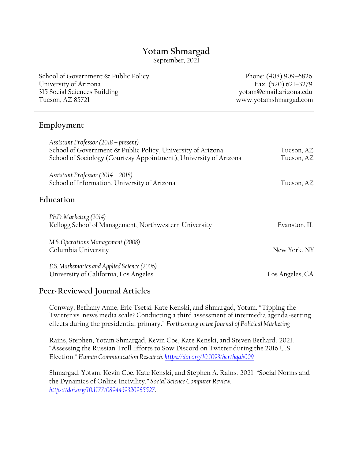# **Yotam Shmargad**

September, 2021

School of Government & Public Policy Phone: (408) 909-6826 University of Arizona Fax: (520) 621–3279 315 Social Sciences Building yotam@email.arizona.edu Tucson, AZ 85721 www.yotamshmargad.com

### **Employment**

| Assistant Professor (2018 – present)<br>School of Government & Public Policy, University of Arizona<br>School of Sociology (Courtesy Appointment), University of Arizona | Tucson, AZ<br>Tucson, AZ |
|--------------------------------------------------------------------------------------------------------------------------------------------------------------------------|--------------------------|
| Assistant Professor $(2014 - 2018)$<br>School of Information, University of Arizona                                                                                      | Tucson, AZ               |
| Education                                                                                                                                                                |                          |
| Ph.D. Marketing (2014)<br>Kellogg School of Management, Northwestern University                                                                                          | Evanston, IL             |
| M.S. Operations Management (2008)<br>Columbia University                                                                                                                 | New York, NY             |
| B.S. Mathematics and Applied Science (2006)<br>University of California, Los Angeles                                                                                     | Los Angeles, CA          |

# **Peer-Reviewed Journal Articles**

Conway, Bethany Anne, Eric Tsetsi, Kate Kenski, and Shmargad, Yotam. "Tipping the Twitter vs. news media scale? Conducting a third assessment of intermedia agenda-setting effects during the presidential primary." *Forthcoming in the Journal of Political Marketing*

Rains, Stephen, Yotam Shmargad, Kevin Coe, Kate Kenski, and Steven Bethard. 2021. "Assessing the Russian Troll Efforts to Sow Discord on Twitter during the 2016 U.S. Election." *Human Communication Research. <https://doi.org/10.1093/hcr/hqab009>*

Shmargad, Yotam, Kevin Coe, Kate Kenski, and Stephen A. Rains. 2021. "Social Norms and the Dynamics of Online Incivility." *Social Science Computer Review. [https://doi.org/10.1177/0894439320985527.](https://doi.org/10.1177/0894439320985527)*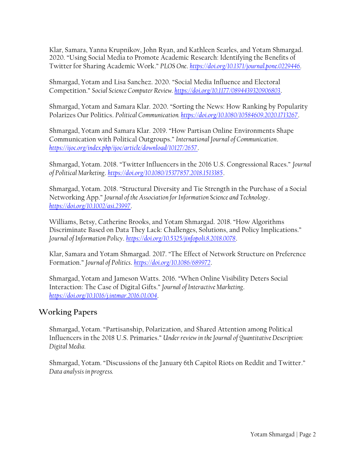Klar, Samara, Yanna Krupnikov, John Ryan, and Kathleen Searles, and Yotam Shmargad. 2020. "Using Social Media to Promote Academic Research: Identifying the Benefits of Twitter for Sharing Academic Work." *PLOS One*. *[https://doi.org/10.1371/journal.pone.0229446.](https://doi.org/10.1371/journal.pone.0229446)*

Shmargad, Yotam and Lisa Sanchez. 2020. "Social Media Influence and Electoral Competition." *Social Science Computer Review.<https://doi.org/10.1177/0894439320906803>*.

Shmargad, Yotam and Samara Klar. 2020. "Sorting the News: How Ranking by Popularity Polarizes Our Politics. *Political Communication. <https://doi.org/10.1080/10584609.2020.1713267>*.

Shmargad, Yotam and Samara Klar. 2019. "How Partisan Online Environments Shape Communication with Political Outgroups." *International Journal of Communication*. *<https://ijoc.org/index.php/ijoc/article/download/10127/2657>*.

Shmargad, Yotam. 2018. "Twitter Influencers in the 2016 U.S. Congressional Races." *Journal of Political Marketing*. *<https://doi.org/10.1080/15377857.2018.1513385>*.

Shmargad, Yotam. 2018. "Structural Diversity and Tie Strength in the Purchase of a Social Networking App." *Journal of the Association for Information Science and Technology*. *<https://doi.org/10.1002/asi.23997>*.

Williams, Betsy, Catherine Brooks, and Yotam Shmargad. 2018. "How Algorithms Discriminate Based on Data They Lack: Challenges, Solutions, and Policy Implications." *Journal of Information Policy*. *<https://doi.org/10.5325/jinfopoli.8.2018.0078>*.

Klar, Samara and Yotam Shmargad. 2017. "The Effect of Network Structure on Preference Formation." *Journal of Politics*. *<https://doi.org/10.1086/689972>*.

Shmargad, Yotam and Jameson Watts. 2016. "When Online Visibility Deters Social Interaction: The Case of Digital Gifts." *Journal of Interactive Marketing*. *<https://doi.org/10.1016/j.intmar.2016.01.004>*.

# **Working Papers**

Shmargad, Yotam. "Partisanship, Polarization, and Shared Attention among Political Influencers in the 2018 U.S. Primaries." *Under review in the Journal of Quantitative Description: Digital Media.*

Shmargad, Yotam. "Discussions of the January 6th Capitol Riots on Reddit and Twitter." *Data analysis in progress.*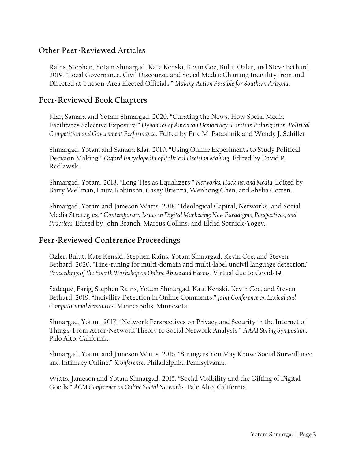# **Other Peer-Reviewed Articles**

Rains, Stephen, Yotam Shmargad, Kate Kenski, Kevin Coe, Bulut Ozler, and Steve Bethard. 2019. "Local Governance, Civil Discourse, and Social Media: Charting Incivility from and Directed at Tucson-Area Elected Officials." *Making Action Possible for Southern Arizona.*

### **Peer-Reviewed Book Chapters**

Klar, Samara and Yotam Shmargad. 2020. "Curating the News: How Social Media Facilitates Selective Exposure." *Dynamics of American Democracy: Partisan Polarization, Political Competition and Government Performance*. Edited by Eric M. Patashnik and Wendy J. Schiller.

Shmargad, Yotam and Samara Klar. 2019. "Using Online Experiments to Study Political Decision Making." *Oxford Encyclopedia of Political Decision Making*. Edited by David P. Redlawsk.

Shmargad, Yotam. 2018. "Long Ties as Equalizers." *Networks, Hacking, and Media.* Edited by Barry Wellman, Laura Robinson, Casey Brienza, Wenhong Chen, and Shelia Cotten.

Shmargad, Yotam and Jameson Watts. 2018. "Ideological Capital, Networks, and Social Media Strategies." C*ontemporary Issues in Digital Marketing: New Paradigms, Perspectives, and Practices.* Edited by John Branch, Marcus Collins, and Eldad Sotnick-Yogev.

#### **Peer-Reviewed Conference Proceedings**

Ozler, Bulut, Kate Kenski, Stephen Rains, Yotam Shmargad, Kevin Coe, and Steven Bethard. 2020. "Fine-tuning for multi-domain and multi-label uncivil language detection." *Proceedings of the Fourth Workshop on Online Abuse and Harms*. Virtual due to Covid-19.

Sadeque, Farig, Stephen Rains, Yotam Shmargad, Kate Kenski, Kevin Coe, and Steven Bethard. 2019. "Incivility Detection in Online Comments." *Joint Conference on Lexical and Computational Semantics*. Minneapolis, Minnesota.

Shmargad, Yotam. 2017. "Network Perspectives on Privacy and Security in the Internet of Things: From Actor-Network Theory to Social Network Analysis." *AAAI Spring Symposium*. Palo Alto, California.

Shmargad, Yotam and Jameson Watts. 2016. "Strangers You May Know: Social Surveillance and Intimacy Online." *iConference*. Philadelphia, Pennsylvania.

Watts, Jameson and Yotam Shmargad. 2015. "Social Visibility and the Gifting of Digital Goods." *ACM Conference on Online Social Networks*. Palo Alto, California.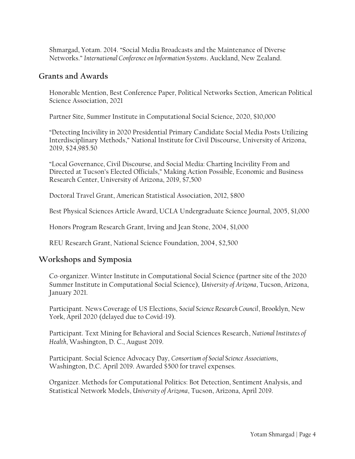Shmargad, Yotam. 2014. "Social Media Broadcasts and the Maintenance of Diverse Networks." *International Conference on Information Systems*. Auckland, New Zealand.

#### **Grants and Awards**

Honorable Mention, Best Conference Paper, Political Networks Section, American Political Science Association, 2021

Partner Site, Summer Institute in Computational Social Science, 2020, \$10,000

"Detecting Incivility in 2020 Presidential Primary Candidate Social Media Posts Utilizing Interdisciplinary Methods," National Institute for Civil Discourse, University of Arizona, 2019, \$24,985.50

"Local Governance, Civil Discourse, and Social Media: Charting Incivility From and Directed at Tucson's Elected Officials," Making Action Possible, Economic and Business Research Center, University of Arizona, 2019, \$7,500

Doctoral Travel Grant, American Statistical Association, 2012, \$800

Best Physical Sciences Article Award, UCLA Undergraduate Science Journal, 2005, \$1,000

Honors Program Research Grant, Irving and Jean Stone, 2004, \$1,000

REU Research Grant, National Science Foundation, 2004, \$2,500

#### **Workshops and Symposia**

Co-organizer. Winter Institute in Computational Social Science (partner site of the 2020 Summer Institute in Computational Social Science), *University of Arizona*, Tucson, Arizona, January 2021.

Participant. News Coverage of US Elections, *Social Science Research Council*, Brooklyn, New York, April 2020 (delayed due to Covid-19).

Participant. Text Mining for Behavioral and Social Sciences Research, *National Institutes of Health*, Washington, D. C., August 2019.

Participant. Social Science Advocacy Day, *Consortium of Social Science Associations*, Washington, D.C. April 2019. Awarded \$500 for travel expenses.

Organizer. Methods for Computational Politics: Bot Detection, Sentiment Analysis, and Statistical Network Models, *University of Arizona*, Tucson, Arizona, April 2019.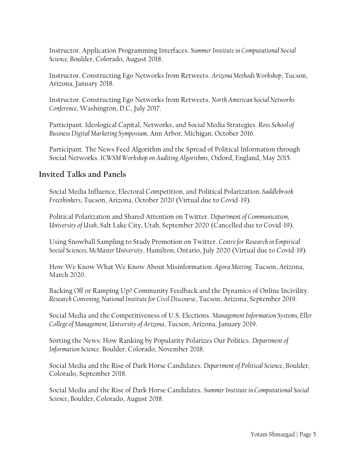Instructor. Application Programming Interfaces. *Summer Institute in Computational Social Science,* Boulder, Colorado, August 2018.

Instructor. Constructing Ego Networks from Retweets. *Arizona Methods Workshop*, Tucson, Arizona, January 2018.

Instructor. Constructing Ego Networks from Retweets. *North American Social Networks Conference*, Washington, D.C, July 2017.

Participant. Ideological Capital, Networks, and Social Media Strategies. *Ross School of Business Digital Marketing Symposium,* Ann Arbor, Michigan, October 2016.

Participant. The News Feed Algorithm and the Spread of Political Information through Social Networks. *ICWSM Workshop on Auditing Algorithms*, Oxford, England, May 2015.

# **Invited Talks and Panels**

Social Media Influence, Electoral Competition, and Political Polarization*. Saddlebrook Freethinkers*, Tucson, Arizona, October 2020 (Virtual due to Covid-19).

Political Polarization and Shared Attention on Twitter. *Department of Communication, University of Utah*, Salt Lake City, Utah, September 2020 (Cancelled due to Covid-19).

Using Snowball Sampling to Study Promotion on Twitter. *Centre for Research in Empirical Social Sciences, McMaster University*, Hamilton, Ontario, July 2020 (Virtual due to Covid-19).

How We Know What We Know About Misinformation*. Agora Meeting*. Tucson, Arizona, March 2020.

Backing Off or Ramping Up? Community Feedback and the Dynamics of Online Incivility. *Research Convening, National Institute for Civil Discourse*, Tucson, Arizona, September 2019.

Social Media and the Competitiveness of U.S. Elections. *Management Information Systems, Eller College of Management, University of Arizona*, Tucson, Arizona, January 2019.

Sorting the News: How Ranking by Popularity Polarizes Our Politics. *Department of Information Science*. Boulder, Colorado, November 2018.

Social Media and the Rise of Dark Horse Candidates. *Department of Political Science*, Boulder, Colorado, September 2018.

Social Media and the Rise of Dark Horse Candidates. *Summer Institute in Computational Social Science*, Boulder, Colorado, August 2018.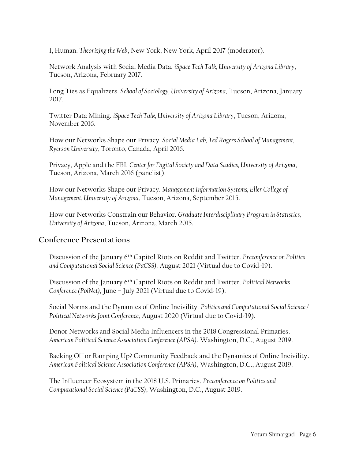I, Human. *Theorizing the Web*, New York, New York, April 2017 (moderator).

Network Analysis with Social Media Data. *iSpace Tech Talk, University of Arizona Library*, Tucson, Arizona, February 2017.

Long Ties as Equalizers. *School of Sociology, University of Arizona,* Tucson, Arizona, January 2017.

Twitter Data Mining. *iSpace Tech Talk, University of Arizona Library*, Tucson, Arizona, November 2016.

How our Networks Shape our Privacy. *Social Media Lab, Ted Rogers School of Management, Ryerson University*, Toronto, Canada, April 2016.

Privacy, Apple and the FBI. *Center for Digital Society and Data Studies, University of Arizona*, Tucson, Arizona, March 2016 (panelist).

How our Networks Shape our Privacy. *Management Information Systems, Eller College of Management, University of Arizona*, Tucson, Arizona, September 2015.

How our Networks Constrain our Behavior. *Graduate Interdisciplinary Program in Statistics, University of Arizona*, Tucson, Arizona, March 2015.

# **Conference Presentations**

Discussion of the January 6th Capitol Riots on Reddit and Twitter. *Preconference on Politics and Computational Social Science (PaCSS),* August 2021 (Virtual due to Covid-19).

Discussion of the January 6th Capitol Riots on Reddit and Twitter. *Political Networks Conference (PolNet),* June – July 2021 (Virtual due to Covid-19).

Social Norms and the Dynamics of Online Incivility. *Politics and Computational Social Science / Political Networks Joint Conference*, August 2020 (Virtual due to Covid-19).

Donor Networks and Social Media Influencers in the 2018 Congressional Primaries. *American Political Science Association Conference (APSA)*, Washington, D.C., August 2019.

Backing Off or Ramping Up? Community Feedback and the Dynamics of Online Incivility. *American Political Science Association Conference (APSA)*, Washington, D.C., August 2019.

The Influencer Ecosystem in the 2018 U.S. Primaries. *Preconference on Politics and Computational Social Science (PaCSS),* Washington, D.C., August 2019.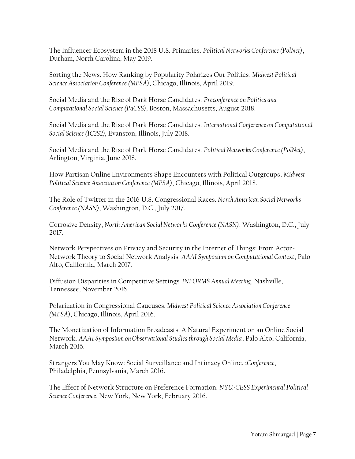The Influencer Ecosystem in the 2018 U.S. Primaries. *Political Networks Conference (PolNet)*, Durham, North Carolina, May 2019.

Sorting the News: How Ranking by Popularity Polarizes Our Politics. *Midwest Political Science Association Conference (MPSA)*, Chicago, Illinois, April 2019.

Social Media and the Rise of Dark Horse Candidates. *Preconference on Politics and Computational Social Science (PaCSS),* Boston, Massachusetts, August 2018.

Social Media and the Rise of Dark Horse Candidates. *International Conference on Computational Social Science (IC2S2),* Evanston, Illinois, July 2018.

Social Media and the Rise of Dark Horse Candidates. *Political Networks Conference (PolNet)*, Arlington, Virginia, June 2018.

How Partisan Online Environments Shape Encounters with Political Outgroups. *Midwest Political Science Association Conference (MPSA)*, Chicago, Illinois, April 2018.

The Role of Twitter in the 2016 U.S. Congressional Races. *North American Social Networks Conference (NASN)*, Washington, D.C., July 2017.

Corrosive Density, *North American Social Networks Conference (NASN)*. Washington, D.C., July 2017.

Network Perspectives on Privacy and Security in the Internet of Things: From Actor-Network Theory to Social Network Analysis. *AAAI Symposium on Computational Context*, Palo Alto, California, March 2017.

Diffusion Disparities in Competitive Settings*. INFORMS Annual Meeting*, Nashville, Tennessee, November 2016.

Polarization in Congressional Caucuses. *Midwest Political Science Association Conference (MPSA)*, Chicago, Illinois, April 2016.

The Monetization of Information Broadcasts: A Natural Experiment on an Online Social Network. *AAAI Symposium on Observational Studies through Social Media*, Palo Alto, California, March 2016.

Strangers You May Know: Social Surveillance and Intimacy Online. *iConference*, Philadelphia, Pennsylvania, March 2016.

The Effect of Network Structure on Preference Formation. *NYU-CESS Experimental Political Science Conference*, New York, New York, February 2016.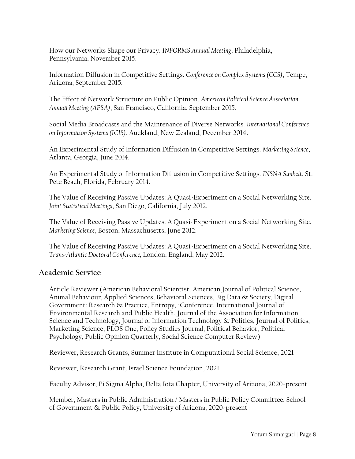How our Networks Shape our Privacy. *INFORMS Annual Meeting*, Philadelphia, Pennsylvania, November 2015.

Information Diffusion in Competitive Settings. *Conference on Complex Systems (CCS)*, Tempe, Arizona, September 2015.

The Effect of Network Structure on Public Opinion. *American Political Science Association Annual Meeting (APSA)*, San Francisco, California, September 2015.

Social Media Broadcasts and the Maintenance of Diverse Networks. *International Conference on Information Systems (ICIS)*, Auckland, New Zealand, December 2014.

An Experimental Study of Information Diffusion in Competitive Settings. *Marketing Science*, Atlanta, Georgia, June 2014.

An Experimental Study of Information Diffusion in Competitive Settings. *INSNA Sunbelt*, St. Pete Beach, Florida, February 2014.

The Value of Receiving Passive Updates: A Quasi-Experiment on a Social Networking Site. *Joint Statistical Meetings*, San Diego, California, July 2012.

The Value of Receiving Passive Updates: A Quasi-Experiment on a Social Networking Site. *Marketing Science*, Boston, Massachusetts, June 2012.

The Value of Receiving Passive Updates: A Quasi-Experiment on a Social Networking Site. *Trans-Atlantic Doctoral Conference,* London, England, May 2012.

# **Academic Service**

Article Reviewer (American Behavioral Scientist, American Journal of Political Science, Animal Behaviour, Applied Sciences, Behavioral Sciences, Big Data & Society, Digital Government: Research & Practice, Entropy, iConference, International Journal of Environmental Research and Public Health, Journal of the Association for Information Science and Technology, Journal of Information Technology & Politics, Journal of Politics, Marketing Science, PLOS One, Policy Studies Journal, Political Behavior, Political Psychology, Public Opinion Quarterly, Social Science Computer Review)

Reviewer, Research Grants, Summer Institute in Computational Social Science, 2021

Reviewer, Research Grant, Israel Science Foundation, 2021

Faculty Advisor, Pi Sigma Alpha, Delta Iota Chapter, University of Arizona, 2020-present

Member, Masters in Public Administration / Masters in Public Policy Committee, School of Government & Public Policy, University of Arizona, 2020-present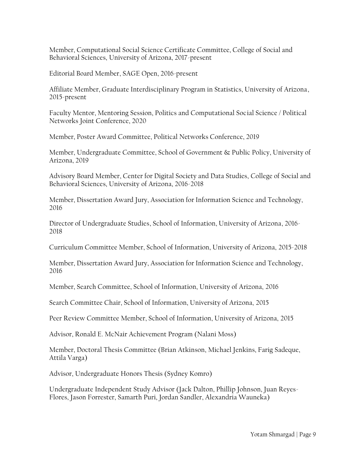Member, Computational Social Science Certificate Committee, College of Social and Behavioral Sciences, University of Arizona, 2017-present

Editorial Board Member, SAGE Open, 2016-present

Affiliate Member, Graduate Interdisciplinary Program in Statistics, University of Arizona, 2015-present

Faculty Mentor, Mentoring Session, Politics and Computational Social Science / Political Networks Joint Conference, 2020

Member, Poster Award Committee, Political Networks Conference, 2019

Member, Undergraduate Committee, School of Government & Public Policy, University of Arizona, 2019

Advisory Board Member, Center for Digital Society and Data Studies, College of Social and Behavioral Sciences, University of Arizona, 2016-2018

Member, Dissertation Award Jury, Association for Information Science and Technology, 2016

Director of Undergraduate Studies, School of Information, University of Arizona, 2016- 2018

Curriculum Committee Member, School of Information, University of Arizona, 2015-2018

Member, Dissertation Award Jury, Association for Information Science and Technology, 2016

Member, Search Committee, School of Information, University of Arizona, 2016

Search Committee Chair, School of Information, University of Arizona, 2015

Peer Review Committee Member, School of Information, University of Arizona, 2015

Advisor, Ronald E. McNair Achievement Program (Nalani Moss)

Member, Doctoral Thesis Committee (Brian Atkinson, Michael Jenkins, Farig Sadeque, Attila Varga)

Advisor, Undergraduate Honors Thesis (Sydney Komro)

Undergraduate Independent Study Advisor (Jack Dalton, Phillip Johnson, Juan Reyes-Flores, Jason Forrester, Samarth Puri, Jordan Sandler, Alexandria Wauneka)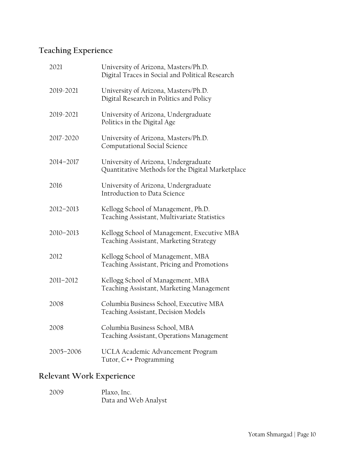# **Teaching Experience**

| 2021      | University of Arizona, Masters/Ph.D.<br>Digital Traces in Social and Political Research  |
|-----------|------------------------------------------------------------------------------------------|
| 2019-2021 | University of Arizona, Masters/Ph.D.<br>Digital Research in Politics and Policy          |
| 2019-2021 | University of Arizona, Undergraduate<br>Politics in the Digital Age                      |
| 2017-2020 | University of Arizona, Masters/Ph.D.<br>Computational Social Science                     |
| 2014-2017 | University of Arizona, Undergraduate<br>Quantitative Methods for the Digital Marketplace |
| 2016      | University of Arizona, Undergraduate<br>Introduction to Data Science                     |
| 2012-2013 | Kellogg School of Management, Ph.D.<br>Teaching Assistant, Multivariate Statistics       |
| 2010-2013 | Kellogg School of Management, Executive MBA<br>Teaching Assistant, Marketing Strategy    |
| 2012      | Kellogg School of Management, MBA<br>Teaching Assistant, Pricing and Promotions          |
| 2011-2012 | Kellogg School of Management, MBA<br>Teaching Assistant, Marketing Management            |
| 2008      | Columbia Business School, Executive MBA<br>Teaching Assistant, Decision Models           |
| 2008      | Columbia Business School, MBA<br>Teaching Assistant, Operations Management               |
| 2005-2006 | UCLA Academic Advancement Program<br>Tutor, C++ Programming                              |

# **Relevant Work Experience**

2009 Plaxo, Inc. Data and Web Analyst